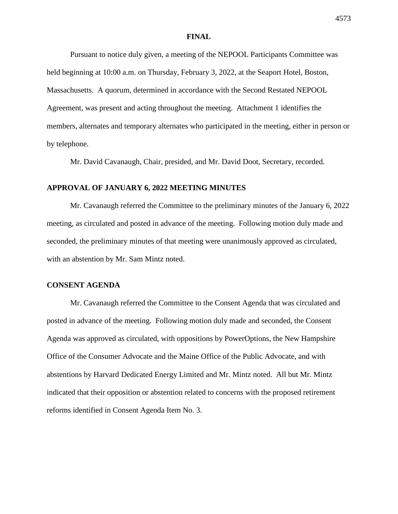### **FINAL**

Pursuant to notice duly given, a meeting of the NEPOOL Participants Committee was held beginning at 10:00 a.m. on Thursday, February 3, 2022, at the Seaport Hotel, Boston, Massachusetts. A quorum, determined in accordance with the Second Restated NEPOOL Agreement, was present and acting throughout the meeting. Attachment 1 identifies the members, alternates and temporary alternates who participated in the meeting, either in person or by telephone.

Mr. David Cavanaugh, Chair, presided, and Mr. David Doot, Secretary, recorded.

# **APPROVAL OF JANUARY 6, 2022 MEETING MINUTES**

Mr. Cavanaugh referred the Committee to the preliminary minutes of the January 6, 2022 meeting, as circulated and posted in advance of the meeting. Following motion duly made and seconded, the preliminary minutes of that meeting were unanimously approved as circulated, with an abstention by Mr. Sam Mintz noted.

## **CONSENT AGENDA**

Mr. Cavanaugh referred the Committee to the Consent Agenda that was circulated and posted in advance of the meeting. Following motion duly made and seconded, the Consent Agenda was approved as circulated, with oppositions by PowerOptions, the New Hampshire Office of the Consumer Advocate and the Maine Office of the Public Advocate, and with abstentions by Harvard Dedicated Energy Limited and Mr. Mintz noted. All but Mr. Mintz indicated that their opposition or abstention related to concerns with the proposed retirement reforms identified in Consent Agenda Item No. 3.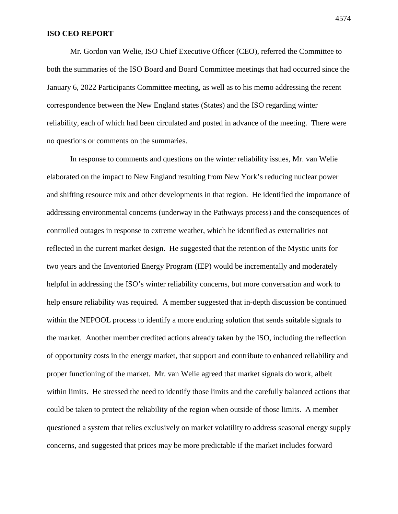## **ISO CEO REPORT**

Mr. Gordon van Welie, ISO Chief Executive Officer (CEO), referred the Committee to both the summaries of the ISO Board and Board Committee meetings that had occurred since the January 6, 2022 Participants Committee meeting, as well as to his memo addressing the recent correspondence between the New England states (States) and the ISO regarding winter reliability, each of which had been circulated and posted in advance of the meeting. There were no questions or comments on the summaries.

In response to comments and questions on the winter reliability issues, Mr. van Welie elaborated on the impact to New England resulting from New York's reducing nuclear power and shifting resource mix and other developments in that region. He identified the importance of addressing environmental concerns (underway in the Pathways process) and the consequences of controlled outages in response to extreme weather, which he identified as externalities not reflected in the current market design. He suggested that the retention of the Mystic units for two years and the Inventoried Energy Program (IEP) would be incrementally and moderately helpful in addressing the ISO's winter reliability concerns, but more conversation and work to help ensure reliability was required. A member suggested that in-depth discussion be continued within the NEPOOL process to identify a more enduring solution that sends suitable signals to the market. Another member credited actions already taken by the ISO, including the reflection of opportunity costs in the energy market, that support and contribute to enhanced reliability and proper functioning of the market. Mr. van Welie agreed that market signals do work, albeit within limits. He stressed the need to identify those limits and the carefully balanced actions that could be taken to protect the reliability of the region when outside of those limits. A member questioned a system that relies exclusively on market volatility to address seasonal energy supply concerns, and suggested that prices may be more predictable if the market includes forward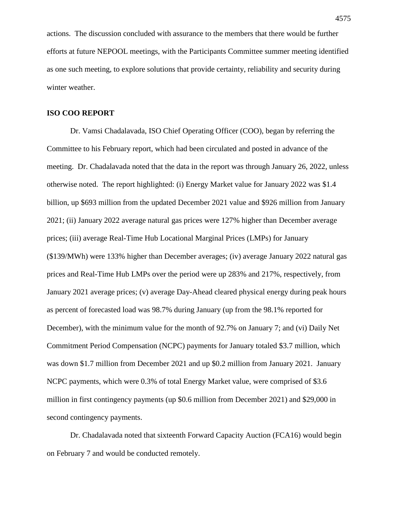actions. The discussion concluded with assurance to the members that there would be further efforts at future NEPOOL meetings, with the Participants Committee summer meeting identified as one such meeting, to explore solutions that provide certainty, reliability and security during winter weather.

## **ISO COO REPORT**

Dr. Vamsi Chadalavada, ISO Chief Operating Officer (COO), began by referring the Committee to his February report, which had been circulated and posted in advance of the meeting. Dr. Chadalavada noted that the data in the report was through January 26, 2022, unless otherwise noted. The report highlighted: (i) Energy Market value for January 2022 was \$1.4 billion, up \$693 million from the updated December 2021 value and \$926 million from January 2021; (ii) January 2022 average natural gas prices were 127% higher than December average prices; (iii) average Real-Time Hub Locational Marginal Prices (LMPs) for January (\$139/MWh) were 133% higher than December averages; (iv) average January 2022 natural gas prices and Real-Time Hub LMPs over the period were up 283% and 217%, respectively, from January 2021 average prices; (v) average Day-Ahead cleared physical energy during peak hours as percent of forecasted load was 98.7% during January (up from the 98.1% reported for December), with the minimum value for the month of 92.7% on January 7; and (vi) Daily Net Commitment Period Compensation (NCPC) payments for January totaled \$3.7 million, which was down \$1.7 million from December 2021 and up \$0.2 million from January 2021. January NCPC payments, which were 0.3% of total Energy Market value, were comprised of \$3.6 million in first contingency payments (up \$0.6 million from December 2021) and \$29,000 in second contingency payments.

Dr. Chadalavada noted that sixteenth Forward Capacity Auction (FCA16) would begin on February 7 and would be conducted remotely.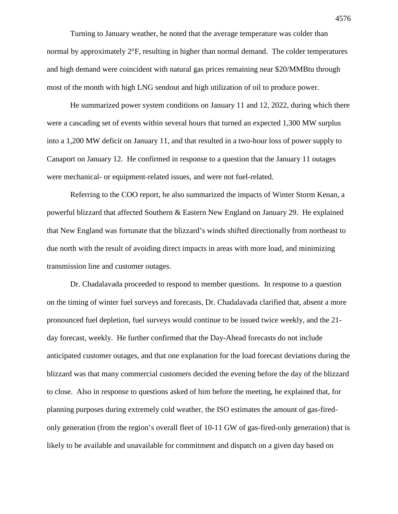Turning to January weather, he noted that the average temperature was colder than normal by approximately  $2^{\circ}F$ , resulting in higher than normal demand. The colder temperatures and high demand were coincident with natural gas prices remaining near \$20/MMBtu through most of the month with high LNG sendout and high utilization of oil to produce power.

He summarized power system conditions on January 11 and 12, 2022, during which there were a cascading set of events within several hours that turned an expected 1,300 MW surplus into a 1,200 MW deficit on January 11, and that resulted in a two-hour loss of power supply to Canaport on January 12. He confirmed in response to a question that the January 11 outages were mechanical- or equipment-related issues, and were not fuel-related.

Referring to the COO report, he also summarized the impacts of Winter Storm Kenan, a powerful blizzard that affected Southern & Eastern New England on January 29. He explained that New England was fortunate that the blizzard's winds shifted directionally from northeast to due north with the result of avoiding direct impacts in areas with more load, and minimizing transmission line and customer outages.

Dr. Chadalavada proceeded to respond to member questions. In response to a question on the timing of winter fuel surveys and forecasts, Dr. Chadalavada clarified that, absent a more pronounced fuel depletion, fuel surveys would continue to be issued twice weekly, and the 21 day forecast, weekly. He further confirmed that the Day-Ahead forecasts do not include anticipated customer outages, and that one explanation for the load forecast deviations during the blizzard was that many commercial customers decided the evening before the day of the blizzard to close. Also in response to questions asked of him before the meeting, he explained that, for planning purposes during extremely cold weather, the ISO estimates the amount of gas-firedonly generation (from the region's overall fleet of 10-11 GW of gas-fired-only generation) that is likely to be available and unavailable for commitment and dispatch on a given day based on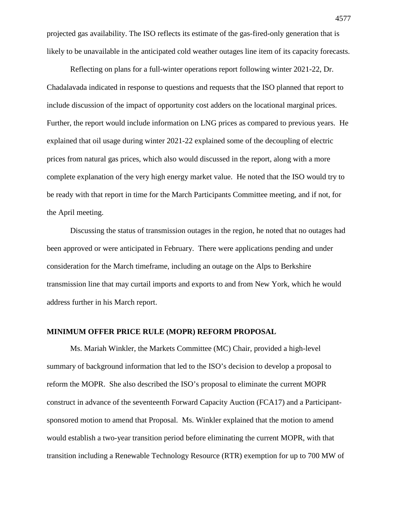projected gas availability. The ISO reflects its estimate of the gas-fired-only generation that is likely to be unavailable in the anticipated cold weather outages line item of its capacity forecasts.

Reflecting on plans for a full-winter operations report following winter 2021-22, Dr. Chadalavada indicated in response to questions and requests that the ISO planned that report to include discussion of the impact of opportunity cost adders on the locational marginal prices. Further, the report would include information on LNG prices as compared to previous years. He explained that oil usage during winter 2021-22 explained some of the decoupling of electric prices from natural gas prices, which also would discussed in the report, along with a more complete explanation of the very high energy market value. He noted that the ISO would try to be ready with that report in time for the March Participants Committee meeting, and if not, for the April meeting.

Discussing the status of transmission outages in the region, he noted that no outages had been approved or were anticipated in February. There were applications pending and under consideration for the March timeframe, including an outage on the Alps to Berkshire transmission line that may curtail imports and exports to and from New York, which he would address further in his March report.

# **MINIMUM OFFER PRICE RULE (MOPR) REFORM PROPOSAL**

Ms. Mariah Winkler, the Markets Committee (MC) Chair, provided a high-level summary of background information that led to the ISO's decision to develop a proposal to reform the MOPR. She also described the ISO's proposal to eliminate the current MOPR construct in advance of the seventeenth Forward Capacity Auction (FCA17) and a Participantsponsored motion to amend that Proposal. Ms. Winkler explained that the motion to amend would establish a two-year transition period before eliminating the current MOPR, with that transition including a Renewable Technology Resource (RTR) exemption for up to 700 MW of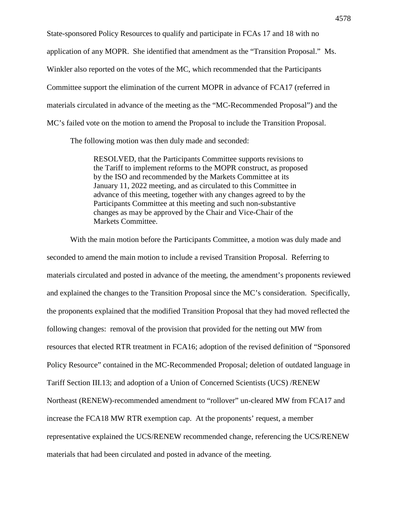State-sponsored Policy Resources to qualify and participate in FCAs 17 and 18 with no application of any MOPR. She identified that amendment as the "Transition Proposal." Ms. Winkler also reported on the votes of the MC, which recommended that the Participants Committee support the elimination of the current MOPR in advance of FCA17 (referred in materials circulated in advance of the meeting as the "MC-Recommended Proposal") and the MC's failed vote on the motion to amend the Proposal to include the Transition Proposal.

The following motion was then duly made and seconded:

RESOLVED, that the Participants Committee supports revisions to the Tariff to implement reforms to the MOPR construct, as proposed by the ISO and recommended by the Markets Committee at its January 11, 2022 meeting, and as circulated to this Committee in advance of this meeting, together with any changes agreed to by the Participants Committee at this meeting and such non-substantive changes as may be approved by the Chair and Vice-Chair of the Markets Committee.

With the main motion before the Participants Committee, a motion was duly made and seconded to amend the main motion to include a revised Transition Proposal. Referring to materials circulated and posted in advance of the meeting, the amendment's proponents reviewed and explained the changes to the Transition Proposal since the MC's consideration. Specifically, the proponents explained that the modified Transition Proposal that they had moved reflected the following changes: removal of the provision that provided for the netting out MW from resources that elected RTR treatment in FCA16; adoption of the revised definition of "Sponsored Policy Resource" contained in the MC-Recommended Proposal; deletion of outdated language in Tariff Section III.13; and adoption of a Union of Concerned Scientists (UCS) /RENEW Northeast (RENEW)-recommended amendment to "rollover" un-cleared MW from FCA17 and increase the FCA18 MW RTR exemption cap. At the proponents' request, a member representative explained the UCS/RENEW recommended change, referencing the UCS/RENEW materials that had been circulated and posted in advance of the meeting.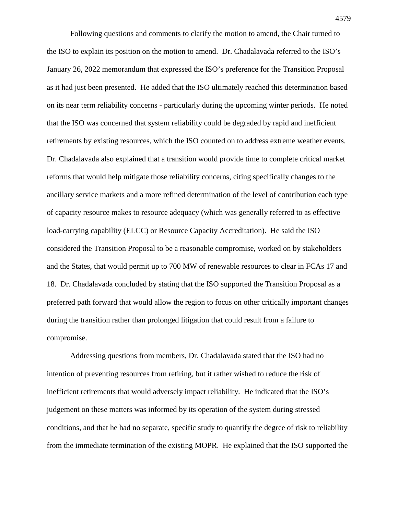Following questions and comments to clarify the motion to amend, the Chair turned to the ISO to explain its position on the motion to amend. Dr. Chadalavada referred to the ISO's January 26, 2022 memorandum that expressed the ISO's preference for the Transition Proposal as it had just been presented. He added that the ISO ultimately reached this determination based on its near term reliability concerns - particularly during the upcoming winter periods. He noted that the ISO was concerned that system reliability could be degraded by rapid and inefficient retirements by existing resources, which the ISO counted on to address extreme weather events. Dr. Chadalavada also explained that a transition would provide time to complete critical market reforms that would help mitigate those reliability concerns, citing specifically changes to the ancillary service markets and a more refined determination of the level of contribution each type of capacity resource makes to resource adequacy (which was generally referred to as effective load-carrying capability (ELCC) or Resource Capacity Accreditation). He said the ISO considered the Transition Proposal to be a reasonable compromise, worked on by stakeholders and the States, that would permit up to 700 MW of renewable resources to clear in FCAs 17 and 18. Dr. Chadalavada concluded by stating that the ISO supported the Transition Proposal as a preferred path forward that would allow the region to focus on other critically important changes during the transition rather than prolonged litigation that could result from a failure to compromise.

Addressing questions from members, Dr. Chadalavada stated that the ISO had no intention of preventing resources from retiring, but it rather wished to reduce the risk of inefficient retirements that would adversely impact reliability. He indicated that the ISO's judgement on these matters was informed by its operation of the system during stressed conditions, and that he had no separate, specific study to quantify the degree of risk to reliability from the immediate termination of the existing MOPR. He explained that the ISO supported the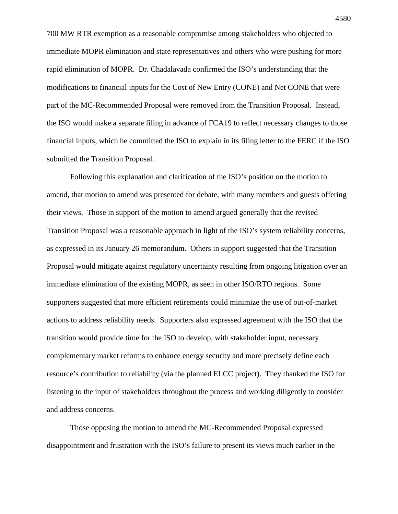700 MW RTR exemption as a reasonable compromise among stakeholders who objected to immediate MOPR elimination and state representatives and others who were pushing for more rapid elimination of MOPR. Dr. Chadalavada confirmed the ISO's understanding that the modifications to financial inputs for the Cost of New Entry (CONE) and Net CONE that were part of the MC-Recommended Proposal were removed from the Transition Proposal. Instead, the ISO would make a separate filing in advance of FCA19 to reflect necessary changes to those financial inputs, which he committed the ISO to explain in its filing letter to the FERC if the ISO submitted the Transition Proposal.

Following this explanation and clarification of the ISO's position on the motion to amend, that motion to amend was presented for debate, with many members and guests offering their views. Those in support of the motion to amend argued generally that the revised Transition Proposal was a reasonable approach in light of the ISO's system reliability concerns, as expressed in its January 26 memorandum. Others in support suggested that the Transition Proposal would mitigate against regulatory uncertainty resulting from ongoing litigation over an immediate elimination of the existing MOPR, as seen in other ISO/RTO regions. Some supporters suggested that more efficient retirements could minimize the use of out-of-market actions to address reliability needs. Supporters also expressed agreement with the ISO that the transition would provide time for the ISO to develop, with stakeholder input, necessary complementary market reforms to enhance energy security and more precisely define each resource's contribution to reliability (via the planned ELCC project). They thanked the ISO for listening to the input of stakeholders throughout the process and working diligently to consider and address concerns.

Those opposing the motion to amend the MC-Recommended Proposal expressed disappointment and frustration with the ISO's failure to present its views much earlier in the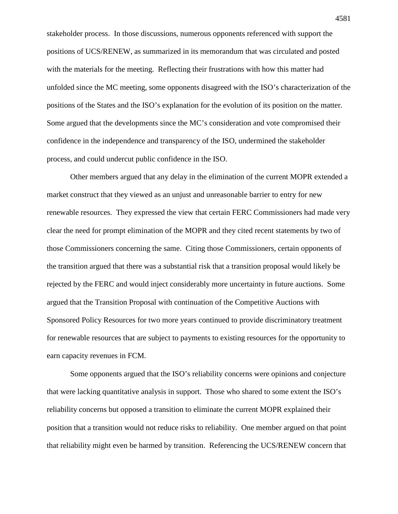stakeholder process. In those discussions, numerous opponents referenced with support the positions of UCS/RENEW, as summarized in its memorandum that was circulated and posted with the materials for the meeting. Reflecting their frustrations with how this matter had unfolded since the MC meeting, some opponents disagreed with the ISO's characterization of the positions of the States and the ISO's explanation for the evolution of its position on the matter. Some argued that the developments since the MC's consideration and vote compromised their confidence in the independence and transparency of the ISO, undermined the stakeholder process, and could undercut public confidence in the ISO.

Other members argued that any delay in the elimination of the current MOPR extended a market construct that they viewed as an unjust and unreasonable barrier to entry for new renewable resources. They expressed the view that certain FERC Commissioners had made very clear the need for prompt elimination of the MOPR and they cited recent statements by two of those Commissioners concerning the same. Citing those Commissioners, certain opponents of the transition argued that there was a substantial risk that a transition proposal would likely be rejected by the FERC and would inject considerably more uncertainty in future auctions. Some argued that the Transition Proposal with continuation of the Competitive Auctions with Sponsored Policy Resources for two more years continued to provide discriminatory treatment for renewable resources that are subject to payments to existing resources for the opportunity to earn capacity revenues in FCM.

Some opponents argued that the ISO's reliability concerns were opinions and conjecture that were lacking quantitative analysis in support. Those who shared to some extent the ISO's reliability concerns but opposed a transition to eliminate the current MOPR explained their position that a transition would not reduce risks to reliability. One member argued on that point that reliability might even be harmed by transition. Referencing the UCS/RENEW concern that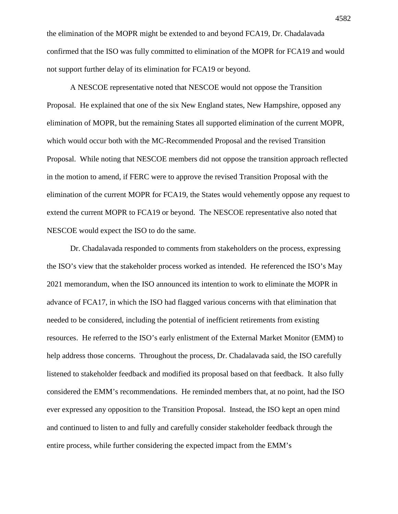the elimination of the MOPR might be extended to and beyond FCA19, Dr. Chadalavada confirmed that the ISO was fully committed to elimination of the MOPR for FCA19 and would not support further delay of its elimination for FCA19 or beyond.

A NESCOE representative noted that NESCOE would not oppose the Transition Proposal. He explained that one of the six New England states, New Hampshire, opposed any elimination of MOPR, but the remaining States all supported elimination of the current MOPR, which would occur both with the MC-Recommended Proposal and the revised Transition Proposal. While noting that NESCOE members did not oppose the transition approach reflected in the motion to amend, if FERC were to approve the revised Transition Proposal with the elimination of the current MOPR for FCA19, the States would vehemently oppose any request to extend the current MOPR to FCA19 or beyond. The NESCOE representative also noted that NESCOE would expect the ISO to do the same.

Dr. Chadalavada responded to comments from stakeholders on the process, expressing the ISO's view that the stakeholder process worked as intended. He referenced the ISO's May 2021 memorandum, when the ISO announced its intention to work to eliminate the MOPR in advance of FCA17, in which the ISO had flagged various concerns with that elimination that needed to be considered, including the potential of inefficient retirements from existing resources. He referred to the ISO's early enlistment of the External Market Monitor (EMM) to help address those concerns. Throughout the process, Dr. Chadalavada said, the ISO carefully listened to stakeholder feedback and modified its proposal based on that feedback. It also fully considered the EMM's recommendations. He reminded members that, at no point, had the ISO ever expressed any opposition to the Transition Proposal. Instead, the ISO kept an open mind and continued to listen to and fully and carefully consider stakeholder feedback through the entire process, while further considering the expected impact from the EMM's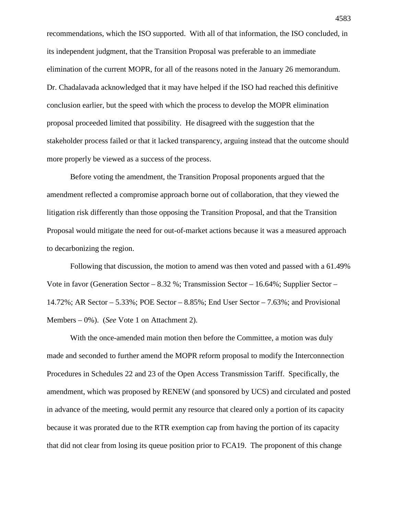recommendations, which the ISO supported. With all of that information, the ISO concluded, in its independent judgment, that the Transition Proposal was preferable to an immediate elimination of the current MOPR, for all of the reasons noted in the January 26 memorandum. Dr. Chadalavada acknowledged that it may have helped if the ISO had reached this definitive conclusion earlier, but the speed with which the process to develop the MOPR elimination proposal proceeded limited that possibility. He disagreed with the suggestion that the stakeholder process failed or that it lacked transparency, arguing instead that the outcome should more properly be viewed as a success of the process.

Before voting the amendment, the Transition Proposal proponents argued that the amendment reflected a compromise approach borne out of collaboration, that they viewed the litigation risk differently than those opposing the Transition Proposal, and that the Transition Proposal would mitigate the need for out-of-market actions because it was a measured approach to decarbonizing the region.

Following that discussion, the motion to amend was then voted and passed with a 61.49% Vote in favor (Generation Sector – 8.32 %; Transmission Sector – 16.64%; Supplier Sector – 14.72%; AR Sector – 5.33%; POE Sector – 8.85%; End User Sector – 7.63%; and Provisional Members – 0%). (*See* Vote 1 on Attachment 2).

With the once-amended main motion then before the Committee, a motion was duly made and seconded to further amend the MOPR reform proposal to modify the Interconnection Procedures in Schedules 22 and 23 of the Open Access Transmission Tariff. Specifically, the amendment, which was proposed by RENEW (and sponsored by UCS) and circulated and posted in advance of the meeting, would permit any resource that cleared only a portion of its capacity because it was prorated due to the RTR exemption cap from having the portion of its capacity that did not clear from losing its queue position prior to FCA19. The proponent of this change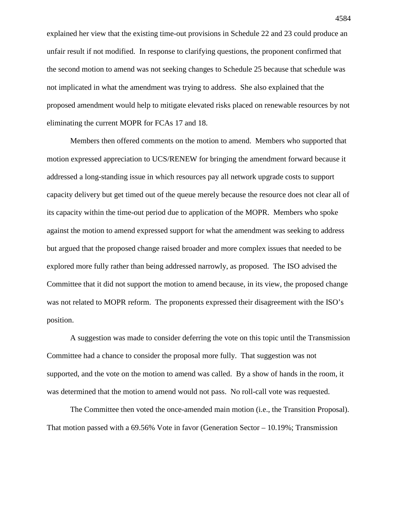explained her view that the existing time-out provisions in Schedule 22 and 23 could produce an unfair result if not modified. In response to clarifying questions, the proponent confirmed that the second motion to amend was not seeking changes to Schedule 25 because that schedule was not implicated in what the amendment was trying to address. She also explained that the proposed amendment would help to mitigate elevated risks placed on renewable resources by not eliminating the current MOPR for FCAs 17 and 18.

Members then offered comments on the motion to amend. Members who supported that motion expressed appreciation to UCS/RENEW for bringing the amendment forward because it addressed a long-standing issue in which resources pay all network upgrade costs to support capacity delivery but get timed out of the queue merely because the resource does not clear all of its capacity within the time-out period due to application of the MOPR. Members who spoke against the motion to amend expressed support for what the amendment was seeking to address but argued that the proposed change raised broader and more complex issues that needed to be explored more fully rather than being addressed narrowly, as proposed. The ISO advised the Committee that it did not support the motion to amend because, in its view, the proposed change was not related to MOPR reform. The proponents expressed their disagreement with the ISO's position.

A suggestion was made to consider deferring the vote on this topic until the Transmission Committee had a chance to consider the proposal more fully. That suggestion was not supported, and the vote on the motion to amend was called. By a show of hands in the room, it was determined that the motion to amend would not pass. No roll-call vote was requested.

The Committee then voted the once-amended main motion (i.e., the Transition Proposal). That motion passed with a 69.56% Vote in favor (Generation Sector – 10.19%; Transmission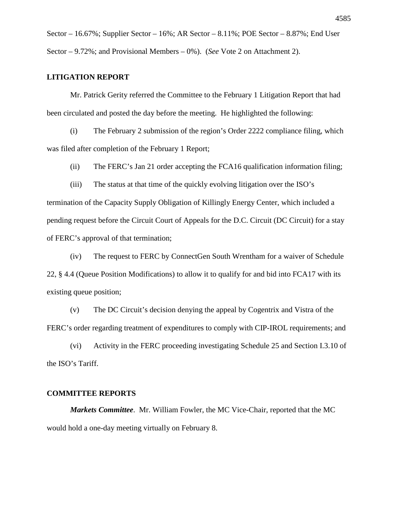Sector – 16.67%; Supplier Sector – 16%; AR Sector – 8.11%; POE Sector – 8.87%; End User Sector – 9.72%; and Provisional Members – 0%). (*See* Vote 2 on Attachment 2).

# **LITIGATION REPORT**

Mr. Patrick Gerity referred the Committee to the February 1 Litigation Report that had been circulated and posted the day before the meeting. He highlighted the following:

(i) The February 2 submission of the region's Order 2222 compliance filing, which was filed after completion of the February 1 Report;

(ii) The FERC's Jan 21 order accepting the FCA16 qualification information filing;

(iii) The status at that time of the quickly evolving litigation over the ISO's

termination of the Capacity Supply Obligation of Killingly Energy Center, which included a pending request before the Circuit Court of Appeals for the D.C. Circuit (DC Circuit) for a stay of FERC's approval of that termination;

(iv) The request to FERC by ConnectGen South Wrentham for a waiver of Schedule 22, § 4.4 (Queue Position Modifications) to allow it to qualify for and bid into FCA17 with its existing queue position;

(v) The DC Circuit's decision denying the appeal by Cogentrix and Vistra of the FERC's order regarding treatment of expenditures to comply with CIP-IROL requirements; and

(vi) Activity in the FERC proceeding investigating Schedule 25 and Section I.3.10 of the ISO's Tariff.

# **COMMITTEE REPORTS**

*Markets Committee*. Mr. William Fowler, the MC Vice-Chair, reported that the MC would hold a one-day meeting virtually on February 8.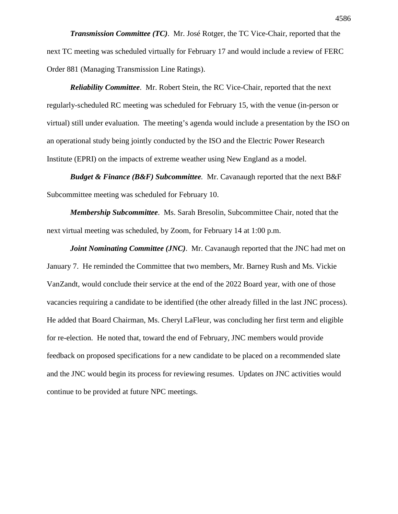*Transmission Committee (TC)*. Mr. José Rotger, the TC Vice-Chair, reported that the next TC meeting was scheduled virtually for February 17 and would include a review of FERC Order 881 (Managing Transmission Line Ratings).

*Reliability Committee*. Mr. Robert Stein, the RC Vice-Chair, reported that the next regularly-scheduled RC meeting was scheduled for February 15, with the venue (in-person or virtual) still under evaluation. The meeting's agenda would include a presentation by the ISO on an operational study being jointly conducted by the ISO and the Electric Power Research Institute (EPRI) on the impacts of extreme weather using New England as a model.

*Budget & Finance (B&F) Subcommittee.* Mr. Cavanaugh reported that the next B&F Subcommittee meeting was scheduled for February 10.

*Membership Subcommittee*. Ms. Sarah Bresolin, Subcommittee Chair, noted that the next virtual meeting was scheduled, by Zoom, for February 14 at 1:00 p.m.

*Joint Nominating Committee (JNC)*. Mr. Cavanaugh reported that the JNC had met on January 7. He reminded the Committee that two members, Mr. Barney Rush and Ms. Vickie VanZandt, would conclude their service at the end of the 2022 Board year, with one of those vacancies requiring a candidate to be identified (the other already filled in the last JNC process). He added that Board Chairman, Ms. Cheryl LaFleur, was concluding her first term and eligible for re-election. He noted that, toward the end of February, JNC members would provide feedback on proposed specifications for a new candidate to be placed on a recommended slate and the JNC would begin its process for reviewing resumes. Updates on JNC activities would continue to be provided at future NPC meetings.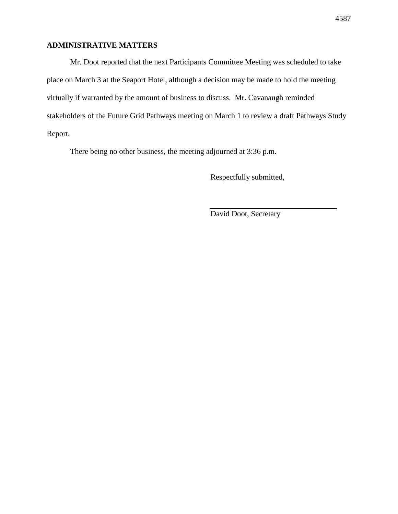# **ADMINISTRATIVE MATTERS**

Mr. Doot reported that the next Participants Committee Meeting was scheduled to take place on March 3 at the Seaport Hotel, although a decision may be made to hold the meeting virtually if warranted by the amount of business to discuss. Mr. Cavanaugh reminded stakeholders of the Future Grid Pathways meeting on March 1 to review a draft Pathways Study Report.

There being no other business, the meeting adjourned at 3:36 p.m.

Respectfully submitted,

David Doot, Secretary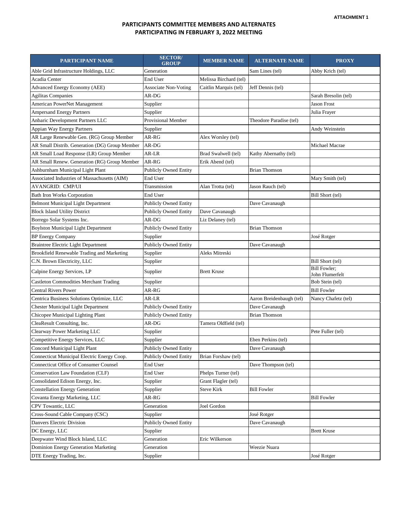| <b>PARTICIPANT NAME</b>                        | <b>SECTOR</b> /<br><b>GROUP</b> | <b>MEMBER NAME</b>     | <b>ALTERNATE NAME</b>    | <b>PROXY</b>                           |
|------------------------------------------------|---------------------------------|------------------------|--------------------------|----------------------------------------|
| Able Grid Infrastructure Holdings, LLC         | Generation                      |                        | Sam Lines (tel)          | Abby Krich (tel)                       |
| Acadia Center                                  | End User                        | Melissa Birchard (tel) |                          |                                        |
| Advanced Energy Economy (AEE)                  | <b>Associate Non-Voting</b>     | Caitlin Marquis (tel)  | Jeff Dennis (tel)        |                                        |
| <b>Agilitas Companies</b>                      | AR-DG                           |                        |                          | Sarah Bresolin (tel)                   |
| American PowerNet Management                   | Supplier                        |                        |                          | <b>Jason Frost</b>                     |
| <b>Ampersand Energy Partners</b>               | Supplier                        |                        |                          | Julia Frayer                           |
| Anbaric Development Partners LLC               | Provisional Member              |                        | Theodore Paradise (tel)  |                                        |
| Appian Way Energy Partners                     | Supplier                        |                        |                          | Andy Weinstein                         |
| AR Large Renewable Gen. (RG) Group Member      | AR-RG                           | Alex Worsley (tel)     |                          |                                        |
| AR Small Distrib. Generation (DG) Group Member | AR-DG                           |                        |                          | Michael Macrae                         |
| AR Small Load Response (LR) Group Member       | AR-LR                           | Brad Swalwell (tel)    | Kathy Abernathy (tel)    |                                        |
| AR Small Renew. Generation (RG) Group Member   | AR-RG                           | Erik Abend (tel)       |                          |                                        |
| Ashburnham Municipal Light Plant               | Publicly Owned Entity           |                        | <b>Brian Thomson</b>     |                                        |
| Associated Industries of Massachusetts (AIM)   | End User                        |                        |                          | Mary Smith (tel)                       |
| AVANGRID: CMP/UI                               | Transmission                    | Alan Trotta (tel)      | Jason Rauch (tel)        |                                        |
| <b>Bath Iron Works Corporation</b>             | End User                        |                        |                          | Bill Short (tel)                       |
| <b>Belmont Municipal Light Department</b>      | <b>Publicly Owned Entity</b>    |                        | Dave Cavanaugh           |                                        |
| <b>Block Island Utility District</b>           | <b>Publicly Owned Entity</b>    | Dave Cavanaugh         |                          |                                        |
| Borrego Solar Systems Inc.                     | AR-DG                           | Liz Delaney (tel)      |                          |                                        |
| <b>Boylston Municipal Light Department</b>     | Publicly Owned Entity           |                        | <b>Brian Thomson</b>     |                                        |
| <b>BP</b> Energy Company                       | Supplier                        |                        |                          | José Rotger                            |
| <b>Braintree Electric Light Department</b>     | <b>Publicly Owned Entity</b>    |                        | Dave Cavanaugh           |                                        |
| Brookfield Renewable Trading and Marketing     | Supplier                        | Aleks Mitreski         |                          |                                        |
| C.N. Brown Electricity, LLC                    | Supplier                        |                        |                          | Bill Short (tel)                       |
| Calpine Energy Services, LP                    | Supplier                        | Brett Kruse            |                          | <b>Bill Fowler:</b><br>John Flumerfelt |
| <b>Castleton Commodities Merchant Trading</b>  | Supplier                        |                        |                          | Bob Stein (tel)                        |
| <b>Central Rivers Power</b>                    | AR-RG                           |                        |                          | <b>Bill Fowler</b>                     |
| Centrica Business Solutions Optimize, LLC      | AR-LR                           |                        | Aaron Breidenbaugh (tel) | Nancy Chafetz (tel)                    |
| <b>Chester Municipal Light Department</b>      | <b>Publicly Owned Entity</b>    |                        | Dave Cavanaugh           |                                        |
| Chicopee Municipal Lighting Plant              | <b>Publicly Owned Entity</b>    |                        | <b>Brian Thomson</b>     |                                        |
| CleaResult Consulting, Inc.                    | AR-DG                           | Tamera Oldfield (tel)  |                          |                                        |
| Clearway Power Marketing LLC                   | Supplier                        |                        |                          | Pete Fuller (tel)                      |
| Competitive Energy Services, LLC               | Supplier                        |                        | Eben Perkins (tel)       |                                        |
| Concord Municipal Light Plant                  | <b>Publicly Owned Entity</b>    |                        | Dave Cavanaugh           |                                        |
| Connecticut Municipal Electric Energy Coop.    | <b>Publicly Owned Entity</b>    | Brian Forshaw (tel)    |                          |                                        |
| <b>Connecticut Office of Consumer Counsel</b>  | End User                        |                        | Dave Thompson (tel)      |                                        |
| Conservation Law Foundation (CLF)              | End User                        | Phelps Turner (tel)    |                          |                                        |
| Consolidated Edison Energy, Inc.               | Supplier                        | Grant Flagler (tel)    |                          |                                        |
| <b>Constellation Energy Generation</b>         | Supplier                        | <b>Steve Kirk</b>      | <b>Bill Fowler</b>       |                                        |
| Covanta Energy Marketing, LLC                  | AR-RG                           |                        |                          | <b>Bill Fowler</b>                     |
| CPV Towantic, LLC                              | Generation                      | Joel Gordon            |                          |                                        |
| Cross-Sound Cable Company (CSC)                | Supplier                        |                        | José Rotger              |                                        |
| Danvers Electric Division                      | Publicly Owned Entity           |                        | Dave Cavanaugh           |                                        |
| DC Energy, LLC                                 | Supplier                        |                        |                          | <b>Brett Kruse</b>                     |
| Deepwater Wind Block Island, LLC               | Generation                      | Eric Wilkerson         |                          |                                        |
| <b>Dominion Energy Generation Marketing</b>    | Generation                      |                        | Weezie Nuara             |                                        |
| DTE Energy Trading, Inc.                       | Supplier                        |                        |                          | José Rotger                            |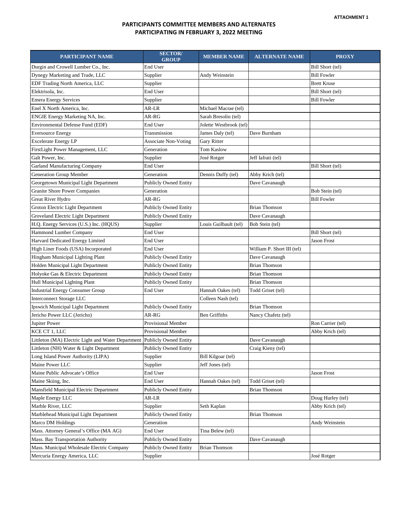| PARTICIPANT NAME                                                         | <b>SECTOR/</b><br><b>GROUP</b> | <b>MEMBER NAME</b>      | <b>ALTERNATE NAME</b>      | <b>PROXY</b>       |
|--------------------------------------------------------------------------|--------------------------------|-------------------------|----------------------------|--------------------|
| Durgin and Crowell Lumber Co., Inc.                                      | End User                       |                         |                            | Bill Short (tel)   |
| Dynegy Marketing and Trade, LLC                                          | Supplier                       | Andy Weinstein          |                            | <b>Bill Fowler</b> |
| EDF Trading North America, LLC                                           | Supplier                       |                         |                            | <b>Brett Kruse</b> |
| Elektrisola, Inc.                                                        | End User                       |                         |                            | Bill Short (tel)   |
| <b>Emera Energy Services</b>                                             | Supplier                       |                         |                            | <b>Bill Fowler</b> |
| Enel X North America, Inc.                                               | AR-LR                          | Michael Macrae (tel)    |                            |                    |
| ENGIE Energy Marketing NA, Inc.                                          | AR-RG                          | Sarah Bresolin (tel)    |                            |                    |
| Environmental Defense Fund (EDF)                                         | End User                       | Jolette Westbrook (tel) |                            |                    |
| <b>Eversource Energy</b>                                                 | Transmission                   | James Daly (tel)        | Dave Burnham               |                    |
| <b>Excelerate Energy LP</b>                                              | <b>Associate Non-Voting</b>    | Gary Ritter             |                            |                    |
| FirstLight Power Management, LLC                                         | Generation                     | <b>Tom Kaslow</b>       |                            |                    |
| Galt Power, Inc.                                                         | Supplier                       | José Rotger             | Jeff Iafrati (tel)         |                    |
| <b>Garland Manufacturing Company</b>                                     | End User                       |                         |                            | Bill Short (tel)   |
| Generation Group Member                                                  | Generation                     | Dennis Duffy (tel)      | Abby Krich (tel)           |                    |
| Georgetown Municipal Light Department                                    | <b>Publicly Owned Entity</b>   |                         | Dave Cavanaugh             |                    |
| <b>Granite Shore Power Companies</b>                                     | Generation                     |                         |                            | Bob Stein (tel)    |
| Great River Hydro                                                        | AR-RG                          |                         |                            | <b>Bill Fowler</b> |
| Groton Electric Light Department                                         | <b>Publicly Owned Entity</b>   |                         | <b>Brian Thomson</b>       |                    |
| Groveland Electric Light Department                                      | <b>Publicly Owned Entity</b>   |                         | Dave Cavanaugh             |                    |
| H.Q. Energy Services (U.S.) Inc. (HQUS)                                  | Supplier                       | Louis Guilbault (tel)   | Bob Stein (tel)            |                    |
| Hammond Lumber Company                                                   | End User                       |                         |                            | Bill Short (tel)   |
| Harvard Dedicated Energy Limited                                         | End User                       |                         |                            | Jason Frost        |
| High Liner Foods (USA) Incorporated                                      | End User                       |                         | William P. Short III (tel) |                    |
| Hingham Municipal Lighting Plant                                         | <b>Publicly Owned Entity</b>   |                         | Dave Cavanaugh             |                    |
| Holden Municipal Light Department                                        | <b>Publicly Owned Entity</b>   |                         | <b>Brian Thomson</b>       |                    |
| Holyoke Gas & Electric Department                                        | <b>Publicly Owned Entity</b>   |                         | <b>Brian Thomson</b>       |                    |
| Hull Municipal Lighting Plant                                            | <b>Publicly Owned Entity</b>   |                         | Brian Thomson              |                    |
| <b>Industrial Energy Consumer Group</b>                                  | End User                       | Hannah Oakes (tel)      | Todd Griset (tel)          |                    |
| <b>Interconnect Storage LLC</b>                                          |                                | Colleen Nash (tel)      |                            |                    |
| Ipswich Municipal Light Department                                       | <b>Publicly Owned Entity</b>   |                         | <b>Brian Thomson</b>       |                    |
| Jericho Power LLC (Jericho)                                              | AR-RG                          | Ben Griffiths           | Nancy Chafetz (tel)        |                    |
| Jupiter Power                                                            | Provisional Member             |                         |                            | Ron Carrier (tel)  |
| KCE CT 1, LLC                                                            | Provisional Member             |                         |                            | Abby Krich (tel)   |
| Littleton (MA) Electric Light and Water Department Publicly Owned Entity |                                |                         | Dave Cavanaugh             |                    |
| Littleton (NH) Water & Light Department                                  | <b>Publicly Owned Entity</b>   |                         | Craig Kieny (tel)          |                    |
| Long Island Power Authority (LIPA)                                       | Supplier                       | Bill Kilgoar (tel)      |                            |                    |
| Maine Power LLC                                                          | Supplier                       | Jeff Jones (tel)        |                            |                    |
| Maine Public Advocate's Office                                           | End User                       |                         |                            | Jason Frost        |
| Maine Skiing, Inc.                                                       | End User                       | Hannah Oakes (tel)      | Todd Griset (tel)          |                    |
| Mansfield Municipal Electric Department                                  | <b>Publicly Owned Entity</b>   |                         | <b>Brian Thomson</b>       |                    |
| Maple Energy LLC                                                         | AR-LR                          |                         |                            | Doug Hurley (tel)  |
| Marble River, LLC                                                        | Supplier                       | Seth Kaplan             |                            | Abby Krich (tel)   |
| Marblehead Municipal Light Department                                    | <b>Publicly Owned Entity</b>   |                         | Brian Thomson              |                    |
| Marco DM Holdings                                                        | Generation                     |                         |                            | Andy Weinstein     |
| Mass. Attorney General's Office (MA AG)                                  | End User                       | Tina Belew (tel)        |                            |                    |
| Mass. Bay Transportation Authority                                       | <b>Publicly Owned Entity</b>   |                         | Dave Cavanaugh             |                    |
| Mass. Municipal Wholesale Electric Company                               | <b>Publicly Owned Entity</b>   | Brian Thomson           |                            |                    |
| Mercuria Energy America, LLC                                             | Supplier                       |                         |                            | José Rotger        |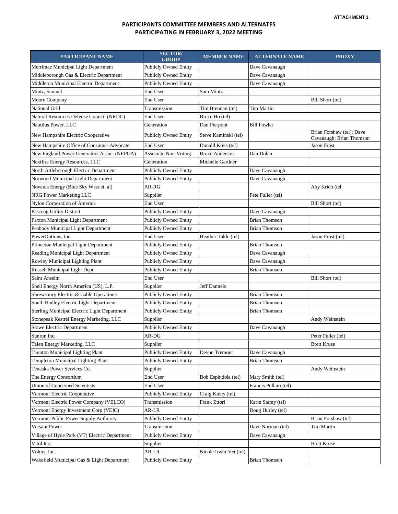| PARTICIPANT NAME                              | <b>SECTOR/</b><br><b>GROUP</b> | <b>MEMBER NAME</b>     | <b>ALTERNATE NAME</b> | <b>PROXY</b>                                          |
|-----------------------------------------------|--------------------------------|------------------------|-----------------------|-------------------------------------------------------|
| Merrimac Municipal Light Department           | <b>Publicly Owned Entity</b>   |                        | Dave Cavanaugh        |                                                       |
| Middleborough Gas & Electric Department       | <b>Publicly Owned Entity</b>   |                        | Dave Cavanaugh        |                                                       |
| Middleton Municipal Electric Department       | <b>Publicly Owned Entity</b>   |                        | Dave Cavanaugh        |                                                       |
| Mintz, Samuel                                 | End User                       | Sam Mintz              |                       |                                                       |
| Moore Company                                 | End User                       |                        |                       | Bill Short (tel)                                      |
| National Grid                                 | Transmission                   | Tim Brennan (tel)      | Tim Martin            |                                                       |
| Natural Resources Defense Council (NRDC)      | End User                       | Bruce Ho (tel)         |                       |                                                       |
| Nautilus Power, LLC                           | Generation                     | Dan Pierpont           | <b>Bill Fowler</b>    |                                                       |
| New Hampshire Electric Cooperative            | <b>Publicly Owned Entity</b>   | Steve Kaminski (tel)   |                       | Brian Forshaw (tel); Dave<br>Cavanaugh; Brian Thomson |
| New Hampshire Office of Consumer Advocate     | End User                       | Donald Kreis (tel)     |                       | Jason Frost                                           |
| New England Power Generators Assoc. (NEPGA)   | <b>Associate Non-Voting</b>    | <b>Bruce Anderson</b>  | Dan Dolan             |                                                       |
| NextEra Energy Resources, LLC                 | Generation                     | Michelle Gardner       |                       |                                                       |
| North Attleborough Electric Department        | <b>Publicly Owned Entity</b>   |                        | Dave Cavanaugh        |                                                       |
| Norwood Municipal Light Department            | <b>Publicly Owned Entity</b>   |                        | Dave Cavanaugh        |                                                       |
| Novatus Energy (Blue Sky West et. al)         | AR-RG                          |                        |                       | Aby Krich (tel                                        |
| NRG Power Marketing LLC                       | Supplier                       |                        | Pete Fuller (tel)     |                                                       |
| Nylon Corporation of America                  | End User                       |                        |                       | Bill Short (tel)                                      |
| Pascoag Utility District                      | <b>Publicly Owned Entity</b>   |                        | Dave Cavanaugh        |                                                       |
| Paxton Municipal Light Department             | <b>Publicly Owned Entity</b>   |                        | <b>Brian Thomson</b>  |                                                       |
| Peabody Municipal Light Department            | <b>Publicly Owned Entity</b>   |                        | <b>Brian Thomson</b>  |                                                       |
| PowerOptions, Inc.                            | End User                       | Heather Takle (tel)    |                       | Jason Frost (tel)                                     |
| Princeton Municipal Light Department          | Publicly Owned Entity          |                        | <b>Brian Thomson</b>  |                                                       |
| Reading Municipal Light Department            | Publicly Owned Entity          |                        | Dave Cavanaugh        |                                                       |
| Rowley Municipal Lighting Plant               | <b>Publicly Owned Entity</b>   |                        | Dave Cavanaugh        |                                                       |
| Russell Municipal Light Dept.                 | Publicly Owned Entity          |                        | <b>Brian Thomson</b>  |                                                       |
| <b>Saint Anselm</b>                           | End User                       |                        |                       | Bill Short (tel)                                      |
| Shell Energy North America (US), L.P.         | Supplier                       | Jeff Dannels           |                       |                                                       |
| Shrewsbury Electric & Cable Operations        | <b>Publicly Owned Entity</b>   |                        | <b>Brian Thomson</b>  |                                                       |
| South Hadley Electric Light Department        | <b>Publicly Owned Entity</b>   |                        | <b>Brian Thomson</b>  |                                                       |
| Sterling Municipal Electric Light Department  | <b>Publicly Owned Entity</b>   |                        | <b>Brian Thomson</b>  |                                                       |
| Stonepeak Kestrel Energy Marketing, LLC       | Supplier                       |                        |                       | Andy Weinstein                                        |
| <b>Stowe Electric Department</b>              | <b>Publicly Owned Entity</b>   |                        | Dave Cavanaugh        |                                                       |
| Sunrun Inc.                                   | AR-DG                          |                        |                       | Peter Fuller (tel)                                    |
| Talen Energy Marketing, LLC                   | Supplier                       |                        |                       | <b>Brett Kruse</b>                                    |
| Taunton Municipal Lighting Plant              | <b>Publicly Owned Entity</b>   | Devon Tremont          | Dave Cavanaugh        |                                                       |
| Templeton Municipal Lighting Plant            | <b>Publicly Owned Entity</b>   |                        | Brian Thomson         |                                                       |
| Tenaska Power Services Co.                    | Supplier                       |                        |                       | Andy Weinstein                                        |
| The Energy Consortium                         | End User                       | Bob Espindola (tel)    | Mary Smith (tel)      |                                                       |
| <b>Union of Concerned Scientists</b>          | End User                       |                        | Francis Pullaro (tel) |                                                       |
| Vermont Electric Cooperative                  | Publicly Owned Entity          | Craig Kieny (tel)      |                       |                                                       |
| Vermont Electric Power Company (VELCO)        | Transmission                   | Frank Ettori           | Karin Stamy (tel)     |                                                       |
| Vermont Energy Investment Corp (VEIC)         | AR-LR                          |                        | Doug Hurley (tel)     |                                                       |
| Vermont Public Power Supply Authority         | <b>Publicly Owned Entity</b>   |                        |                       | Brian Forshaw (tel)                                   |
| Versant Power                                 | Transmission                   |                        | Dave Norman (tel)     | Tim Martin                                            |
| Village of Hyde Park (VT) Electric Department | <b>Publicly Owned Entity</b>   |                        | Dave Cavanaugh        |                                                       |
| Vitol Inc.                                    | Supplier                       |                        |                       | <b>Brett Kruse</b>                                    |
| Voltus, Inc.                                  | AR-LR                          | Nicole Irwin-Vet (tel) |                       |                                                       |
| Wakefield Municipal Gas & Light Department    | <b>Publicly Owned Entity</b>   |                        | <b>Brian Thomson</b>  |                                                       |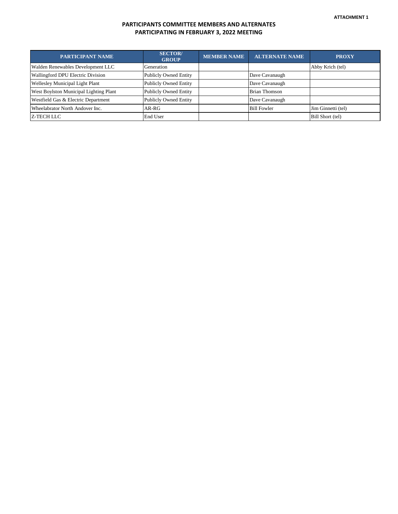| <b>PARTICIPANT NAME</b>                | <b>SECTOR</b> /<br><b>GROUP</b> | <b>MEMBER NAME</b> | <b>ALTERNATE NAME</b> | <b>PROXY</b>       |
|----------------------------------------|---------------------------------|--------------------|-----------------------|--------------------|
| Walden Renewables Development LLC      | Generation                      |                    |                       | Abby Krich (tel)   |
| Wallingford DPU Electric Division      | <b>Publicly Owned Entity</b>    |                    | Dave Cavanaugh        |                    |
| Wellesley Municipal Light Plant        | <b>Publicly Owned Entity</b>    |                    | Dave Cavanaugh        |                    |
| West Boylston Municipal Lighting Plant | Publicly Owned Entity           |                    | <b>Brian Thomson</b>  |                    |
| Westfield Gas & Electric Department    | <b>Publicly Owned Entity</b>    |                    | Dave Cavanaugh        |                    |
| Wheelabrator North Andover Inc.        | AR-RG                           |                    | <b>Bill Fowler</b>    | Jim Ginnetti (tel) |
| Z-TECH LLC                             | End User                        |                    |                       | Bill Short (tel)   |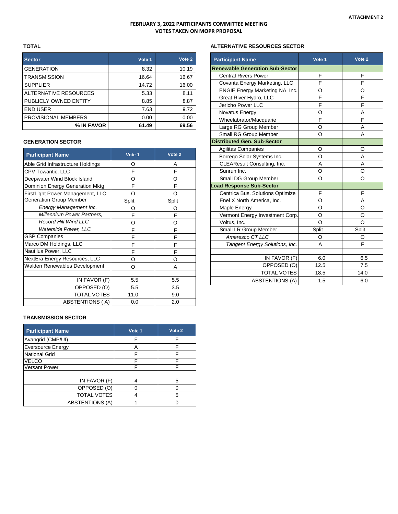#### **FEBRUARY 3, 2022 PARTICIPANTS COMMITTEE MEETING VOTES TAKEN ON MOPR PROPOSAL**

#### **TOTAL**

| <b>Sector</b>         | Vote 1 | Vote 2 |
|-----------------------|--------|--------|
| <b>GENERATION</b>     | 8.32   | 10.19  |
| <b>TRANSMISSION</b>   | 16.64  | 16.67  |
| <b>SUPPLIER</b>       | 14.72  | 16.00  |
| ALTERNATIVE RESOURCES | 5.33   | 8.11   |
| PUBLICLY OWNED ENTITY | 8.85   | 8.87   |
| <b>END USER</b>       | 7.63   | 9.72   |
| PROVISIONAL MEMBERS   | 0.00   | 0.00   |
| % IN FAVOR            | 61.49  | 69.56  |

#### **GENERATION SECTOR**

| <b>Participant Name</b>              | Vote 1 | Vote <sub>2</sub> |
|--------------------------------------|--------|-------------------|
| Able Grid Infrastructure Holdings    | Ω      | Α                 |
| CPV Towantic, LLC                    | F      | F                 |
| Deepwater Wind Block Island          | O      | O                 |
| Dominion Energy Generation Mktg      | F      | F                 |
| FirstLight Power Management, LLC     | Ω      | റ                 |
| <b>Generation Group Member</b>       | Split  | Split             |
| Energy Management Inc.               | O      | O                 |
| Millennium Power Partners,           | F      | F                 |
| <b>Record Hill Wind LLC</b>          | Ω      | റ                 |
| Waterside Power, LLC                 | F      | F                 |
| <b>GSP Companies</b>                 | F      | F                 |
| Marco DM Holdings, LLC               | F      | F                 |
| Nautilus Power, LLC                  | F      | F                 |
| NextEra Energy Resources, LLC        | Ω      | Ω                 |
| <b>Walden Renewables Development</b> | O      | А                 |
|                                      |        |                   |
| IN FAVOR (F)                         | 5.5    | 5.5               |
| OPPOSED (O)                          | 5.5    | 3.5               |
| <b>TOTAL VOTES</b>                   | 11.0   | 9.0               |
| ABSTENTIONS (A)                      | 0.0    | 2.0               |

## **TRANSMISSION SECTOR**

| <b>Participant Name</b>  | Vote 1 | Vote 2 |
|--------------------------|--------|--------|
| Avangrid (CMP/UI)        | F      | F      |
| <b>Eversource Energy</b> | А      |        |
| <b>National Grid</b>     |        |        |
| VELCO                    |        |        |
| <b>Versant Power</b>     |        |        |
|                          |        |        |
| IN FAVOR (F)             |        | 5      |
| OPPOSED (O)              |        |        |
| <b>TOTAL VOTES</b>       |        | 5      |
| <b>ABSTENTIONS (A)</b>   |        |        |

### **ALTERNATIVE RESOURCES SECTOR**

| <b>Participant Name</b>                | Vote 1   | Vote 2 |
|----------------------------------------|----------|--------|
| <b>Renewable Generation Sub-Sector</b> |          |        |
| <b>Central Rivers Power</b>            | F        | F      |
| Covanta Energy Marketing, LLC          | F        | F      |
| ENGIE Energy Marketing NA, Inc.        | O        | O      |
| Great River Hydro, LLC                 | F        | F      |
| Jericho Power LLC                      | F        | F      |
| Novatus Energy                         | O        | A      |
| Wheelabrator/Macquarie                 | F        | F      |
| Large RG Group Member                  | O        | A      |
| Small RG Group Member                  | $\Omega$ | A      |
| <b>Distributed Gen. Sub-Sector</b>     |          |        |
| <b>Agilitas Companies</b>              | O        | O      |
| Borrego Solar Systems Inc.             | O        | A      |
| CLEAResult Consulting, Inc.            | A        | A      |
| Sunrun Inc.                            | O        | O      |
| Small DG Group Member                  | O        | O      |
| <b>Load Response Sub-Sector</b>        |          |        |
| Centrica Bus. Solutions Optimize       | F        | F      |
| Enel X North America, Inc.             | O        | A      |
| Maple Energy                           | O        | O      |
| Vermont Energy Investment Corp.        | O        | O      |
| Voltus, Inc.                           | O        | O      |
| Small LR Group Member                  | Split    | Split  |
| Ameresco CT LLC                        | O        | O      |
| Tangent Energy Solutions, Inc.         | A        | F      |
|                                        |          |        |
| IN FAVOR (F)                           | 6.0      | 6.5    |
| OPPOSED (O)                            | 12.5     | 7.5    |
| <b>TOTAL VOTES</b>                     | 18.5     | 14.0   |
| <b>ABSTENTIONS (A)</b>                 | 1.5      | 6.0    |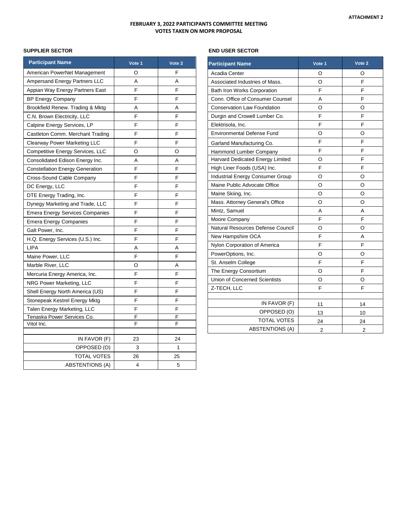### **FEBRUARY 3, 2022 PARTICIPANTS COMMITTEE MEETING VOTES TAKEN ON MOPR PROPOSAL**

## **SUPPLIER SECTOR**

| <b>Participant Name</b>                | Vote 1 | Vote <sub>2</sub> |
|----------------------------------------|--------|-------------------|
| American PowerNet Management           | O      | F                 |
| Ampersand Energy Partners LLC          | A      | A                 |
| Appian Way Energy Partners East        | F      | F                 |
| <b>BP Energy Company</b>               | F      | F                 |
| Brookfield Renew. Trading & Mktg       | Α      | Α                 |
| C.N. Brown Electricity, LLC            | F      | F                 |
| Calpine Energy Services, LP            | F      | F                 |
| Castleton Comm. Merchant Trading       | F      | F                 |
| Clearway Power Marketing LLC           | F      | F                 |
| Competitive Energy Services, LLC       | O      | O                 |
| Consolidated Edison Energy Inc.        | Α      | Α                 |
| <b>Constellation Energy Generation</b> | F      | F                 |
| Cross-Sound Cable Company              | F      | F                 |
| DC Energy, LLC                         | F      | F                 |
| DTE Energy Trading, Inc.               | F      | F                 |
| Dynegy Marketing and Trade, LLC        | F      | F                 |
| <b>Emera Energy Services Companies</b> | F      | F                 |
| Emera Energy Companies                 | F      | F                 |
| Galt Power, Inc.                       | F      | F                 |
| H.Q. Energy Services (U.S.) Inc.       | F      | F                 |
| <b>LIPA</b>                            | А      | Α                 |
| Maine Power, LLC                       | F      | F                 |
| Marble River, LLC                      | O      | Α                 |
| Mercuria Energy America, Inc.          | F      | F                 |
| NRG Power Marketing, LLC               | F      | F                 |
| Shell Energy North America (US)        | F      | F                 |
| Stonepeak Kestrel Energy Mktg          | F      | F                 |
| Talen Energy Marketing, LLC            | F      | F                 |
| Tenaska Power Services Co.             | F      | F                 |
| Vitol Inc.                             | F      | F                 |
| IN FAVOR (F)                           | 23     | 24                |
| OPPOSED (O)                            | 3      | 1                 |
| TOTAL VOTES                            | 26     | 25                |
| <b>ABSTENTIONS (A)</b>                 | 4      | 5                 |

## **END USER SECTOR**

| <b>Participant Name</b>              | Vote 1         | Vote 2         |
|--------------------------------------|----------------|----------------|
| Acadia Center                        | O              | O              |
| Associated Industries of Mass.       | O              | F              |
| Bath Iron Works Corporation          | F              | F              |
| Conn. Office of Consumer Counsel     | A              | F              |
| <b>Conservation Law Foundation</b>   | O              | O              |
| Durgin and Crowell Lumber Co.        | F              | F              |
| Elektrisola, Inc.                    | F              | F              |
| <b>Environmental Defense Fund</b>    | O              | O              |
| Garland Manufacturing Co.            | F              | F              |
| Hammond Lumber Company               | F              | F              |
| Harvard Dedicated Energy Limited     | O              | F              |
| High Liner Foods (USA) Inc.          | F              | F              |
| Industrial Energy Consumer Group     | O              | O              |
| Maine Public Advocate Office         | O              | O              |
| Maine Skiing, Inc.                   | O              | O              |
| Mass. Attorney General's Office      | O              | O              |
| Mintz, Samuel                        | A              | А              |
| Moore Company                        | F              | F              |
| Natural Resources Defense Council    | O              | O              |
| New Hampshire OCA                    | F              | Α              |
| Nylon Corporation of America         | F              | F              |
| PowerOptions, Inc.                   | O              | O              |
| St. Anselm College                   | F              | F              |
| The Energy Consortium                | $\circ$        | F              |
| <b>Union of Concerned Scientists</b> | O              | O              |
| Z-TECH, LLC                          | F              | F              |
|                                      |                |                |
| IN FAVOR (F)                         | 11             | 14             |
| OPPOSED (O)                          | 13             | 10             |
| <b>TOTAL VOTES</b>                   | 24             | 24             |
| <b>ABSTENTIONS (A)</b>               | $\overline{2}$ | $\overline{2}$ |